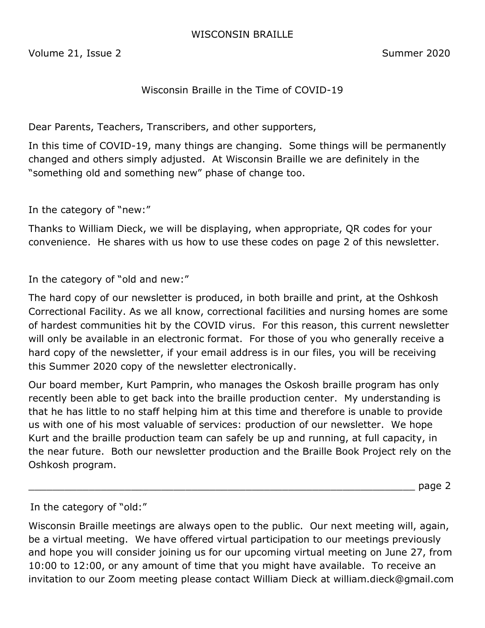#### WISCONSIN BRAILLE

Volume 21, Issue 2 Summer 2020

### Wisconsin Braille in the Time of COVID-19

Dear Parents, Teachers, Transcribers, and other supporters,

In this time of COVID-19, many things are changing. Some things will be permanently changed and others simply adjusted. At Wisconsin Braille we are definitely in the "something old and something new" phase of change too.

In the category of "new:"

Thanks to William Dieck, we will be displaying, when appropriate, QR codes for your convenience. He shares with us how to use these codes on page 2 of this newsletter.

In the category of "old and new:"

The hard copy of our newsletter is produced, in both braille and print, at the Oshkosh Correctional Facility. As we all know, correctional facilities and nursing homes are some of hardest communities hit by the COVID virus. For this reason, this current newsletter will only be available in an electronic format. For those of you who generally receive a hard copy of the newsletter, if your email address is in our files, you will be receiving this Summer 2020 copy of the newsletter electronically.

Our board member, Kurt Pamprin, who manages the Oskosh braille program has only recently been able to get back into the braille production center. My understanding is that he has little to no staff helping him at this time and therefore is unable to provide us with one of his most valuable of services: production of our newsletter. We hope Kurt and the braille production team can safely be up and running, at full capacity, in the near future. Both our newsletter production and the Braille Book Project rely on the Oshkosh program.

\_\_\_\_\_\_\_\_\_\_\_\_\_\_\_\_\_\_\_\_\_\_\_\_\_\_\_\_\_\_\_\_\_\_\_\_\_\_\_\_\_\_\_\_\_\_\_\_\_\_\_\_\_\_\_\_\_\_\_\_\_\_\_\_ page 2

In the category of "old:"

Wisconsin Braille meetings are always open to the public. Our next meeting will, again, be a virtual meeting. We have offered virtual participation to our meetings previously and hope you will consider joining us for our upcoming virtual meeting on June 27, from 10:00 to 12:00, or any amount of time that you might have available. To receive an invitation to our Zoom meeting please contact William Dieck at william.dieck@gmail.com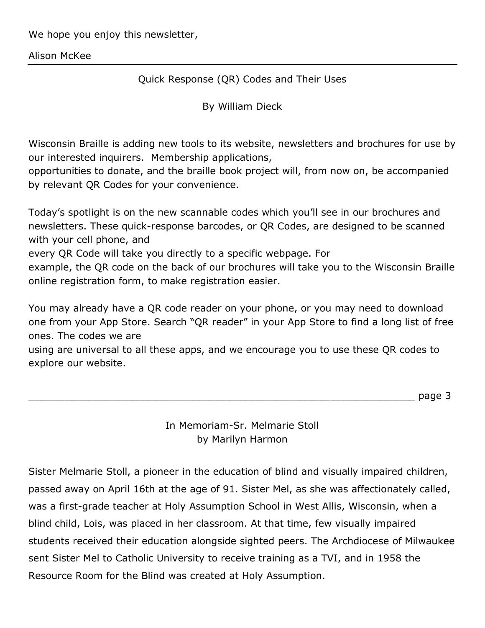We hope you enjoy this newsletter,

Alison McKee

Quick Response (QR) Codes and Their Uses

By William Dieck

Wisconsin Braille is adding new tools to its website, newsletters and brochures for use by our interested inquirers. Membership applications,

opportunities to donate, and the braille book project will, from now on, be accompanied by relevant QR Codes for your convenience.

Today's spotlight is on the new scannable codes which you'll see in our brochures and newsletters. These quick-response barcodes, or QR Codes, are designed to be scanned with your cell phone, and

every QR Code will take you directly to a specific webpage. For

example, the QR code on the back of our brochures will take you to the Wisconsin Braille online registration form, to make registration easier.

You may already have a QR code reader on your phone, or you may need to download one from your App Store. Search "QR reader" in your App Store to find a long list of free ones. The codes we are

using are universal to all these apps, and we encourage you to use these QR codes to explore our website.

\_\_\_\_\_\_\_\_\_\_\_\_\_\_\_\_\_\_\_\_\_\_\_\_\_\_\_\_\_\_\_\_\_\_\_\_\_\_\_\_\_\_\_\_\_\_\_\_\_\_\_\_\_\_\_\_\_\_\_\_\_\_\_\_ page 3

In Memoriam-Sr. Melmarie Stoll by Marilyn Harmon

Sister Melmarie Stoll, a pioneer in the education of blind and visually impaired children, passed away on April 16th at the age of 91. Sister Mel, as she was affectionately called, was a first-grade teacher at Holy Assumption School in West Allis, Wisconsin, when a blind child, Lois, was placed in her classroom. At that time, few visually impaired students received their education alongside sighted peers. The Archdiocese of Milwaukee sent Sister Mel to Catholic University to receive training as a TVI, and in 1958 the Resource Room for the Blind was created at Holy Assumption.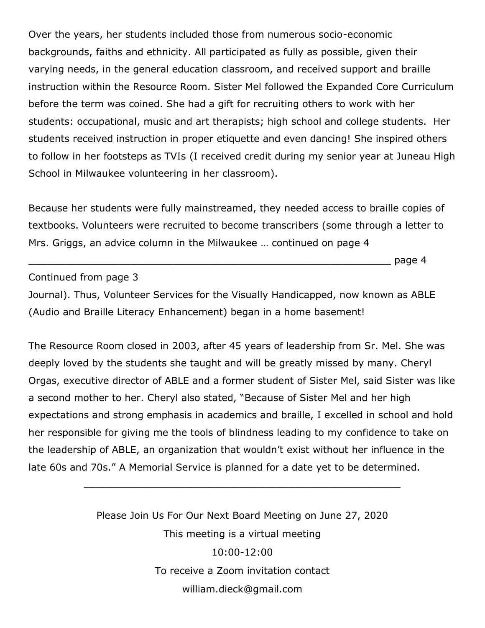Over the years, her students included those from numerous socio-economic backgrounds, faiths and ethnicity. All participated as fully as possible, given their varying needs, in the general education classroom, and received support and braille instruction within the Resource Room. Sister Mel followed the Expanded Core Curriculum before the term was coined. She had a gift for recruiting others to work with her students: occupational, music and art therapists; high school and college students. Her students received instruction in proper etiquette and even dancing! She inspired others to follow in her footsteps as TVIs (I received credit during my senior year at Juneau High School in Milwaukee volunteering in her classroom).

Because her students were fully mainstreamed, they needed access to braille copies of textbooks. Volunteers were recruited to become transcribers (some through a letter to Mrs. Griggs, an advice column in the Milwaukee … continued on page 4

\_\_\_\_\_\_\_\_\_\_\_\_\_\_\_\_\_\_\_\_\_\_\_\_\_\_\_\_\_\_\_\_\_\_\_\_\_\_\_\_\_\_\_\_\_\_\_\_\_\_\_\_\_\_\_\_\_\_\_\_ page 4

Continued from page 3

Journal). Thus, Volunteer Services for the Visually Handicapped, now known as ABLE (Audio and Braille Literacy Enhancement) began in a home basement!

The Resource Room closed in 2003, after 45 years of leadership from Sr. Mel. She was deeply loved by the students she taught and will be greatly missed by many. Cheryl Orgas, executive director of ABLE and a former student of Sister Mel, said Sister was like a second mother to her. Cheryl also stated, "Because of Sister Mel and her high expectations and strong emphasis in academics and braille, I excelled in school and hold her responsible for giving me the tools of blindness leading to my confidence to take on the leadership of ABLE, an organization that wouldn't exist without her influence in the late 60s and 70s." A Memorial Service is planned for a date yet to be determined.

> Please Join Us For Our Next Board Meeting on June 27, 2020 This meeting is a virtual meeting 10:00-12:00 To receive a Zoom invitation contact william.dieck@gmail.com

\_\_\_\_\_\_\_\_\_\_\_\_\_\_\_\_\_\_\_\_\_\_\_\_\_\_\_\_\_\_\_\_\_\_\_\_\_\_\_\_\_\_\_\_\_\_\_\_\_\_\_\_\_\_\_\_\_\_\_\_\_\_\_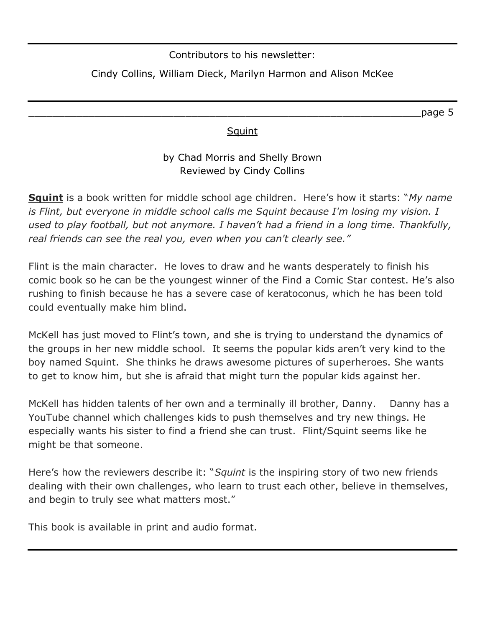Contributors to his newsletter:

# Cindy Collins, William Dieck, Marilyn Harmon and Alison McKee

\_\_\_\_\_\_\_\_\_\_\_\_\_\_\_\_\_\_\_\_\_\_\_\_\_\_\_\_\_\_\_\_\_\_\_\_\_\_\_\_\_\_\_\_\_\_\_\_\_\_\_\_\_\_\_\_\_\_\_\_\_\_\_\_\_page 5

### **Squint**

## by Chad Morris and Shelly Brown Reviewed by Cindy Collins

**Squint** is a book written for middle school age children. Here's how it starts: "*My name is Flint, but everyone in middle school calls me Squint because I'm losing my vision. I used to play football, but not anymore. I haven't had a friend in a long time. Thankfully, real friends can see the real you, even when you can't clearly see."*

Flint is the main character. He loves to draw and he wants desperately to finish his comic book so he can be the youngest winner of the Find a Comic Star contest. He's also rushing to finish because he has a severe case of keratoconus, which he has been told could eventually make him blind.

McKell has just moved to Flint's town, and she is trying to understand the dynamics of the groups in her new middle school. It seems the popular kids aren't very kind to the boy named Squint. She thinks he draws awesome pictures of superheroes. She wants to get to know him, but she is afraid that might turn the popular kids against her.

McKell has hidden talents of her own and a terminally ill brother, Danny. Danny has a YouTube channel which challenges kids to push themselves and try new things. He especially wants his sister to find a friend she can trust. Flint/Squint seems like he might be that someone.

Here's how the reviewers describe it: "*Squint* is the inspiring story of two new friends dealing with their own challenges, who learn to trust each other, believe in themselves, and begin to truly see what matters most."

This book is available in print and audio format.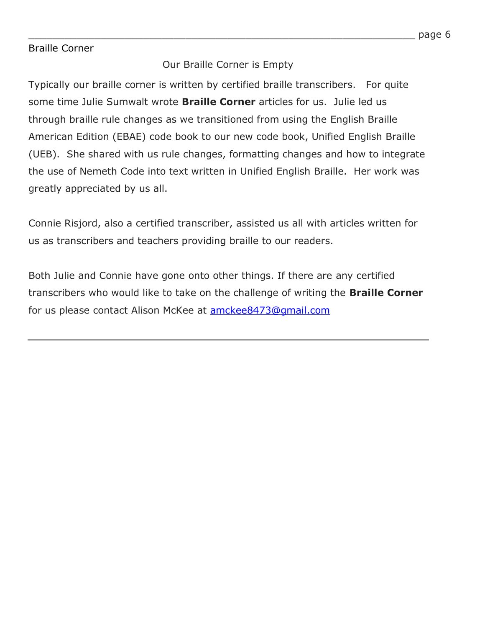### Braille Corner

### Our Braille Corner is Empty

Typically our braille corner is written by certified braille transcribers. For quite some time Julie Sumwalt wrote **Braille Corner** articles for us. Julie led us through braille rule changes as we transitioned from using the English Braille American Edition (EBAE) code book to our new code book, Unified English Braille (UEB). She shared with us rule changes, formatting changes and how to integrate the use of Nemeth Code into text written in Unified English Braille. Her work was greatly appreciated by us all.

Connie Risjord, also a certified transcriber, assisted us all with articles written for us as transcribers and teachers providing braille to our readers.

Both Julie and Connie have gone onto other things. If there are any certified transcribers who would like to take on the challenge of writing the **Braille Corner**  for us please contact Alison McKee at **amckee8473@gmail.com**